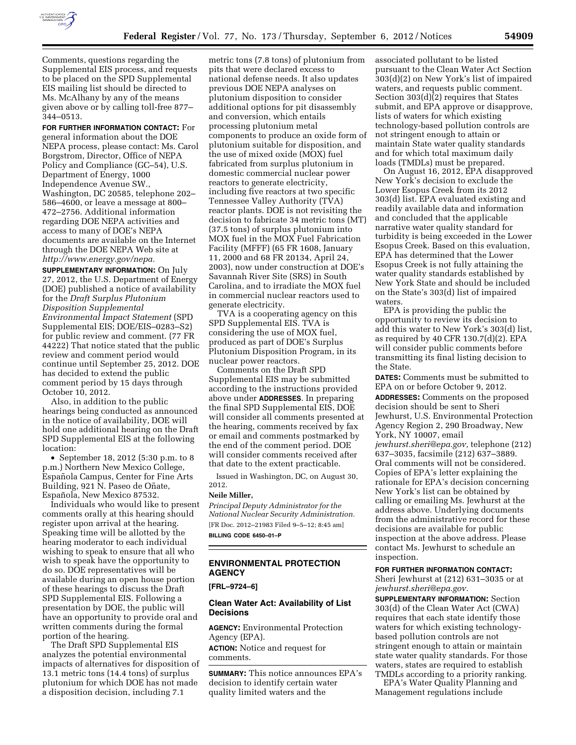

Comments, questions regarding the Supplemental EIS process, and requests to be placed on the SPD Supplemental EIS mailing list should be directed to Ms. McAlhany by any of the means given above or by calling toll-free 877– 344–0513.

**FOR FURTHER INFORMATION CONTACT:** For general information about the DOE NEPA process, please contact: Ms. Carol Borgstrom, Director, Office of NEPA Policy and Compliance (GC–54), U.S. Department of Energy, 1000 Independence Avenue SW., Washington, DC 20585, telephone 202– 586–4600, or leave a message at 800– 472–2756. Additional information regarding DOE NEPA activities and access to many of DOE's NEPA documents are available on the Internet through the DOE NEPA Web site at *[http://www.energy.gov/nepa.](http://www.energy.gov/nepa)* 

**SUPPLEMENTARY INFORMATION:** On July 27, 2012, the U.S. Department of Energy (DOE) published a notice of availability for the *Draft Surplus Plutonium Disposition Supplemental Environmental Impact Statement* (SPD Supplemental EIS; DOE/EIS–0283–S2) for public review and comment. (77 FR 44222) That notice stated that the public review and comment period would continue until September 25, 2012. DOE has decided to extend the public comment period by 15 days through October 10, 2012.

Also, in addition to the public hearings being conducted as announced in the notice of availability, DOE will hold one additional hearing on the Draft SPD Supplemental EIS at the following location:

• September 18, 2012 (5:30 p.m. to 8 p.m.) Northern New Mexico College, Española Campus, Center for Fine Arts Building, 921 N. Paseo de Oñate, Española, New Mexico 87532.

Individuals who would like to present comments orally at this hearing should register upon arrival at the hearing. Speaking time will be allotted by the hearing moderator to each individual wishing to speak to ensure that all who wish to speak have the opportunity to do so. DOE representatives will be available during an open house portion of these hearings to discuss the Draft SPD Supplemental EIS. Following a presentation by DOE, the public will have an opportunity to provide oral and written comments during the formal portion of the hearing.

The Draft SPD Supplemental EIS analyzes the potential environmental impacts of alternatives for disposition of 13.1 metric tons (14.4 tons) of surplus plutonium for which DOE has not made a disposition decision, including 7.1

metric tons (7.8 tons) of plutonium from pits that were declared excess to national defense needs. It also updates previous DOE NEPA analyses on plutonium disposition to consider additional options for pit disassembly and conversion, which entails processing plutonium metal components to produce an oxide form of plutonium suitable for disposition, and the use of mixed oxide (MOX) fuel fabricated from surplus plutonium in domestic commercial nuclear power reactors to generate electricity, including five reactors at two specific Tennessee Valley Authority (TVA) reactor plants. DOE is not revisiting the decision to fabricate 34 metric tons (MT) (37.5 tons) of surplus plutonium into MOX fuel in the MOX Fuel Fabrication Facility (MFFF) (65 FR 1608, January 11, 2000 and 68 FR 20134, April 24, 2003), now under construction at DOE's Savannah River Site (SRS) in South Carolina, and to irradiate the MOX fuel in commercial nuclear reactors used to generate electricity.

TVA is a cooperating agency on this SPD Supplemental EIS. TVA is considering the use of MOX fuel, produced as part of DOE's Surplus Plutonium Disposition Program, in its nuclear power reactors.

Comments on the Draft SPD Supplemental EIS may be submitted according to the instructions provided above under **ADDRESSES**. In preparing the final SPD Supplemental EIS, DOE will consider all comments presented at the hearing, comments received by fax or email and comments postmarked by the end of the comment period. DOE will consider comments received after that date to the extent practicable.

Issued in Washington, DC, on August 30, 2012.

#### **Neile Miller,**

*Principal Deputy Administrator for the National Nuclear Security Administration.*  [FR Doc. 2012–21983 Filed 9–5–12; 8:45 am] **BILLING CODE 6450–01–P** 

# **ENVIRONMENTAL PROTECTION AGENCY**

**[FRL–9724–6]** 

## **Clean Water Act: Availability of List Decisions**

**AGENCY:** Environmental Protection Agency (EPA).

**ACTION:** Notice and request for comments.

**SUMMARY:** This notice announces EPA's decision to identify certain water quality limited waters and the

associated pollutant to be listed pursuant to the Clean Water Act Section 303(d)(2) on New York's list of impaired waters, and requests public comment. Section 303(d)(2) requires that States submit, and EPA approve or disapprove, lists of waters for which existing technology-based pollution controls are not stringent enough to attain or maintain State water quality standards and for which total maximum daily loads (TMDLs) must be prepared.

On August 16, 2012, EPA disapproved New York's decision to exclude the Lower Esopus Creek from its 2012 303(d) list. EPA evaluated existing and readily available data and information and concluded that the applicable narrative water quality standard for turbidity is being exceeded in the Lower Esopus Creek. Based on this evaluation, EPA has determined that the Lower Esopus Creek is not fully attaining the water quality standards established by New York State and should be included on the State's 303(d) list of impaired waters.

EPA is providing the public the opportunity to review its decision to add this water to New York's 303(d) list, as required by 40 CFR 130.7(d)(2). EPA will consider public comments before transmitting its final listing decision to the State.

**DATES:** Comments must be submitted to EPA on or before October 9, 2012.

**ADDRESSES:** Comments on the proposed decision should be sent to Sheri Jewhurst, U.S. Environmental Protection Agency Region 2, 290 Broadway, New York, NY 10007, email *[jewhurst.sheri@epa.gov,](mailto:jewhurst.sheri@epa.gov)* telephone (212) 637–3035, facsimile (212) 637–3889. Oral comments will not be considered. Copies of EPA's letter explaining the rationale for EPA's decision concerning New York's list can be obtained by calling or emailing Ms. Jewhurst at the address above. Underlying documents from the administrative record for these decisions are available for public inspection at the above address. Please contact Ms. Jewhurst to schedule an inspection.

## **FOR FURTHER INFORMATION CONTACT:**

Sheri Jewhurst at (212) 631–3035 or at *[jewhurst.sheri@epa.gov.](mailto:jewhurst.sheri@epa.gov)* 

**SUPPLEMENTARY INFORMATION:** Section 303(d) of the Clean Water Act (CWA) requires that each state identify those waters for which existing technologybased pollution controls are not stringent enough to attain or maintain state water quality standards. For those waters, states are required to establish TMDLs according to a priority ranking.

EPA's Water Quality Planning and Management regulations include